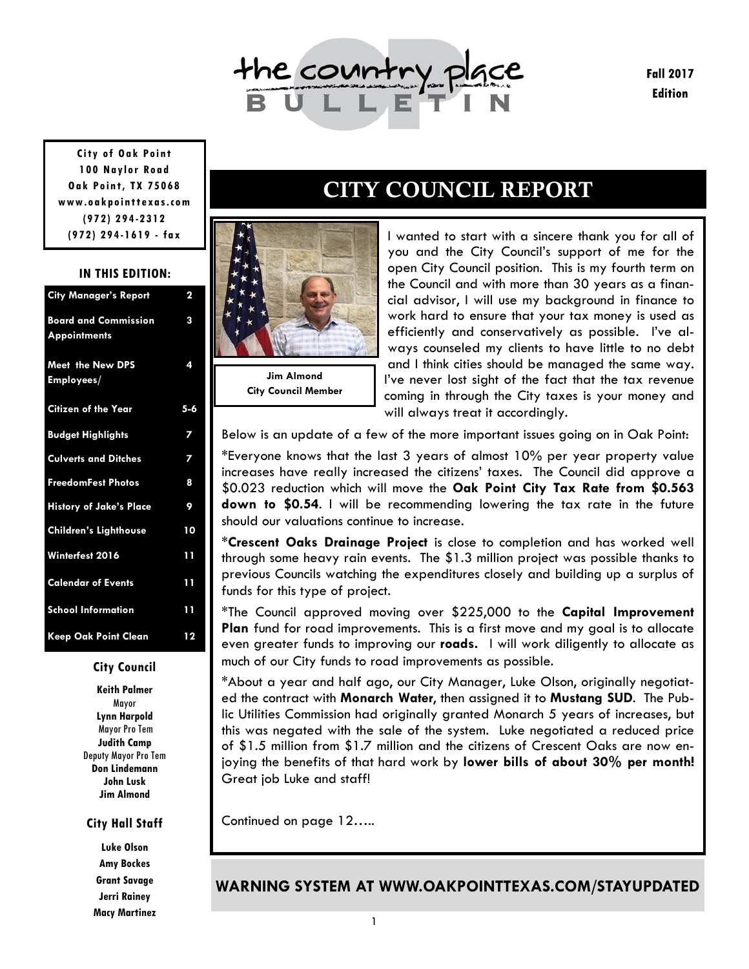

**Fall 2017 Edition** 

**City of Oak Point 100 Naylor Road Oak Point, TX 75068 www.oakpointtexas.com (972) 294-2312 (972) 294-1619 - fax**

#### **IN THIS EDITION:**

| <b>City Manager's Report</b>                       | 2   |
|----------------------------------------------------|-----|
| <b>Board and Commission</b><br><b>Appointments</b> | 3   |
| <b>Meet the New DPS</b><br>Employees/              | 4   |
| <b>Citizen of the Year</b>                         | 5-6 |
| <b>Budget Highlights</b>                           | 7   |
| <b>Culverts and Ditches</b>                        | 7   |
| <b>FreedomFest Photos</b>                          | 8   |
| <b>History of Jake's Place</b>                     | 9   |
| <b>Children's Lighthouse</b>                       | 10  |
| Winterfest 2016                                    | 11  |
| <b>Calendar of Events</b>                          | 11  |
| <b>School Information</b>                          | 11  |
| <b>Keep Oak Point Clean</b>                        | 12  |

#### **City Council**

**Keith Palmer**  Mayor **Lynn Harpold**  Mayor Pro Tem **Judith Camp**  Deputy Mayor Pro Tem **Don Lindemann John Lusk Jim Almond** 

#### **City Hall Staff**

**Luke Olson Amy Bockes Grant Savage Jerri Rainey Macy Martinez** 

## CITY COUNCIL REPORT

I wanted to start with a sincere thank you for all of you and the City Council's support of me for the open City Council position. This is my fourth term on the Council and with more than 30 years as a financial advisor, I will use my background in finance to work hard to ensure that your tax money is used as efficiently and conservatively as possible. I've always counseled my clients to have little to no debt and I think cities should be managed the same way. I've never lost sight of the fact that the tax revenue coming in through the City taxes is your money and will always treat it accordingly.

Below is an update of a few of the more important issues going on in Oak Point:

\*Everyone knows that the last 3 years of almost 10% per year property value increases have really increased the citizens' taxes. The Council did approve a \$0.023 reduction which will move the **Oak Point City Tax Rate from \$0.563 down to \$0.54**. I will be recommending lowering the tax rate in the future should our valuations continue to increase.

\***Crescent Oaks Drainage Project** is close to completion and has worked well through some heavy rain events. The \$1.3 million project was possible thanks to previous Councils watching the expenditures closely and building up a surplus of funds for this type of project.

\*The Council approved moving over \$225,000 to the **Capital Improvement Plan** fund for road improvements. This is a first move and my goal is to allocate even greater funds to improving our **roads.** I will work diligently to allocate as much of our City funds to road improvements as possible.

\*About a year and half ago, our City Manager, Luke Olson, originally negotiated the contract with **Monarch Water**, then assigned it to **Mustang SUD**. The Public Utilities Commission had originally granted Monarch 5 years of increases, but this was negated with the sale of the system. Luke negotiated a reduced price of \$1.5 million from \$1.7 million and the citizens of Crescent Oaks are now enjoying the benefits of that hard work by **lower bills of about 30% per month!**  Great job Luke and staff!

Continued on page 12…..

**Jim Almond City Council Member**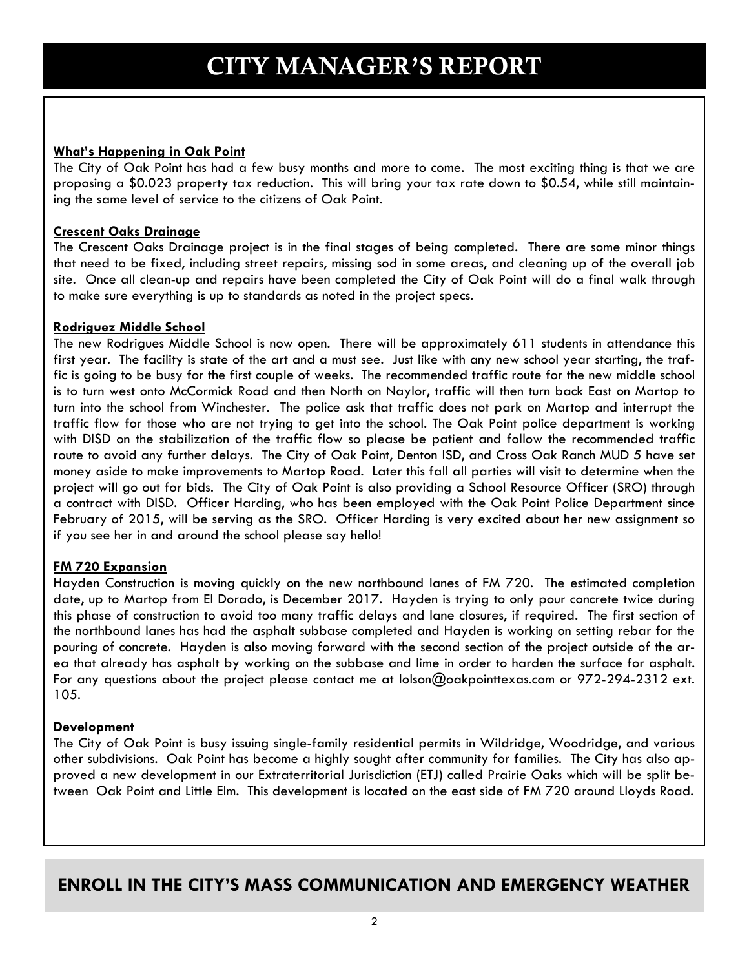### **What's Happening in Oak Point**

The City of Oak Point has had a few busy months and more to come. The most exciting thing is that we are proposing a \$0.023 property tax reduction. This will bring your tax rate down to \$0.54, while still maintaining the same level of service to the citizens of Oak Point.

### **Crescent Oaks Drainage**

The Crescent Oaks Drainage project is in the final stages of being completed. There are some minor things that need to be fixed, including street repairs, missing sod in some areas, and cleaning up of the overall job site. Once all clean-up and repairs have been completed the City of Oak Point will do a final walk through to make sure everything is up to standards as noted in the project specs.

### **Rodriguez Middle School**

The new Rodrigues Middle School is now open. There will be approximately 611 students in attendance this first year. The facility is state of the art and a must see. Just like with any new school year starting, the traffic is going to be busy for the first couple of weeks. The recommended traffic route for the new middle school is to turn west onto McCormick Road and then North on Naylor, traffic will then turn back East on Martop to turn into the school from Winchester. The police ask that traffic does not park on Martop and interrupt the traffic flow for those who are not trying to get into the school. The Oak Point police department is working with DISD on the stabilization of the traffic flow so please be patient and follow the recommended traffic route to avoid any further delays. The City of Oak Point, Denton ISD, and Cross Oak Ranch MUD 5 have set money aside to make improvements to Martop Road. Later this fall all parties will visit to determine when the project will go out for bids. The City of Oak Point is also providing a School Resource Officer (SRO) through a contract with DISD. Officer Harding, who has been employed with the Oak Point Police Department since February of 2015, will be serving as the SRO. Officer Harding is very excited about her new assignment so if you see her in and around the school please say hello!

### **FM 720 Expansion**

Hayden Construction is moving quickly on the new northbound lanes of FM 720. The estimated completion date, up to Martop from El Dorado, is December 2017. Hayden is trying to only pour concrete twice during this phase of construction to avoid too many traffic delays and lane closures, if required. The first section of the northbound lanes has had the asphalt subbase completed and Hayden is working on setting rebar for the pouring of concrete. Hayden is also moving forward with the second section of the project outside of the area that already has asphalt by working on the subbase and lime in order to harden the surface for asphalt. For any questions about the project please contact me at lolson@oakpointtexas.com or 972-294-2312 ext. 105.

### **Development**

The City of Oak Point is busy issuing single-family residential permits in Wildridge, Woodridge, and various other subdivisions. Oak Point has become a highly sought after community for families. The City has also approved a new development in our Extraterritorial Jurisdiction (ETJ) called Prairie Oaks which will be split between Oak Point and Little Elm. This development is located on the east side of FM 720 around Lloyds Road.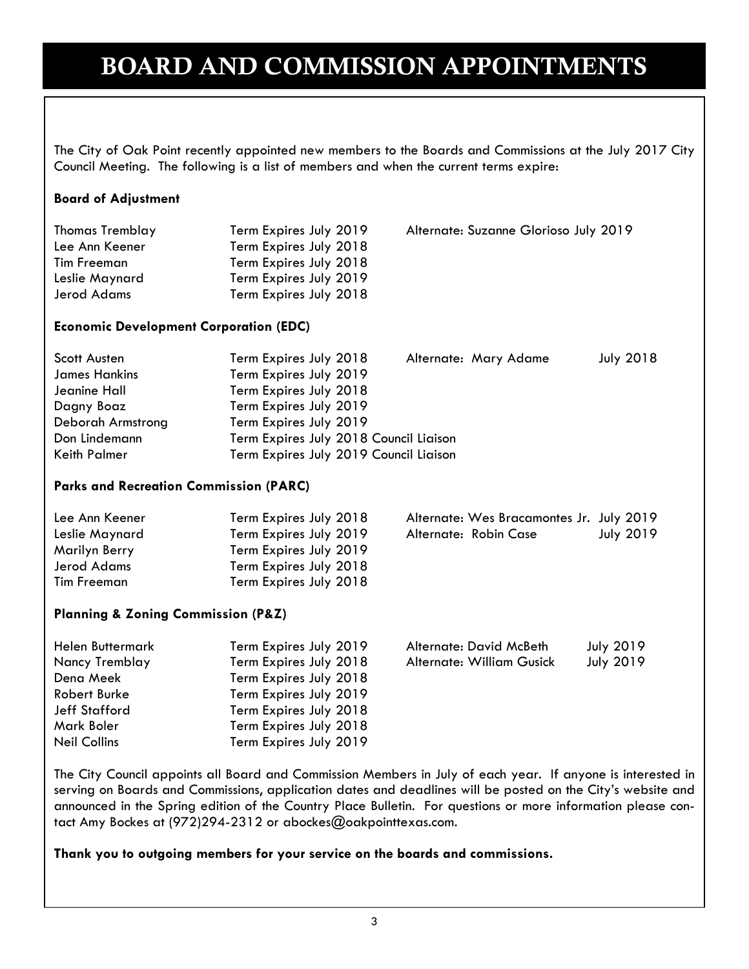## BOARD AND COMMISSION APPOINTMENTS

The City of Oak Point recently appointed new members to the Boards and Commissions at the July 2017 City Council Meeting. The following is a list of members and when the current terms expire:

### **Board of Adjustment**

| <b>Thomas Tremblay</b> | Term Expires July 2019 | Alternate: Suzanne Glorioso July 2019 |
|------------------------|------------------------|---------------------------------------|
| Lee Ann Keener         | Term Expires July 2018 |                                       |
| Tim Freeman            | Term Expires July 2018 |                                       |
| Leslie Maynard         | Term Expires July 2019 |                                       |
| Jerod Adams            | Term Expires July 2018 |                                       |

### **Economic Development Corporation (EDC)**

| Scott Austen         | Term Expires July 2018                 | Alternate: Mary Adame | <b>July 2018</b> |
|----------------------|----------------------------------------|-----------------------|------------------|
| <b>James Hankins</b> | Term Expires July 2019                 |                       |                  |
| Jeanine Hall         | Term Expires July 2018                 |                       |                  |
| Dagny Boaz           | Term Expires July 2019                 |                       |                  |
| Deborah Armstrong    | Term Expires July 2019                 |                       |                  |
| Don Lindemann        | Term Expires July 2018 Council Liaison |                       |                  |
| Keith Palmer         | Term Expires July 2019 Council Liaison |                       |                  |

### **Parks and Recreation Commission (PARC)**

| Lee Ann Keener | Term Expires July 2018 |                       | Alternate: Wes Bracamontes Jr. July 2019 |                  |
|----------------|------------------------|-----------------------|------------------------------------------|------------------|
| Leslie Maynard | Term Expires July 2019 | Alternate: Robin Case |                                          | <b>July 2019</b> |
| Marilyn Berry  | Term Expires July 2019 |                       |                                          |                  |
| Jerod Adams    | Term Expires July 2018 |                       |                                          |                  |
| Tim Freeman    | Term Expires July 2018 |                       |                                          |                  |

#### **Planning & Zoning Commission (P&Z)**

| Helen Buttermark     | Term Expires July 2019 | Alternate: David McBeth   | <b>July 2019</b> |
|----------------------|------------------------|---------------------------|------------------|
| Nancy Tremblay       | Term Expires July 2018 | Alternate: William Gusick | <b>July 2019</b> |
| Dena Meek            | Term Expires July 2018 |                           |                  |
| Robert Burke         | Term Expires July 2019 |                           |                  |
| <b>Jeff Stafford</b> | Term Expires July 2018 |                           |                  |
| Mark Boler           | Term Expires July 2018 |                           |                  |
| <b>Neil Collins</b>  | Term Expires July 2019 |                           |                  |

The City Council appoints all Board and Commission Members in July of each year. If anyone is interested in serving on Boards and Commissions, application dates and deadlines will be posted on the City's website and announced in the Spring edition of the Country Place Bulletin. For questions or more information please contact Amy Bockes at (972)294-2312 or abockes@oakpointtexas.com.

#### **Thank you to outgoing members for your service on the boards and commissions.**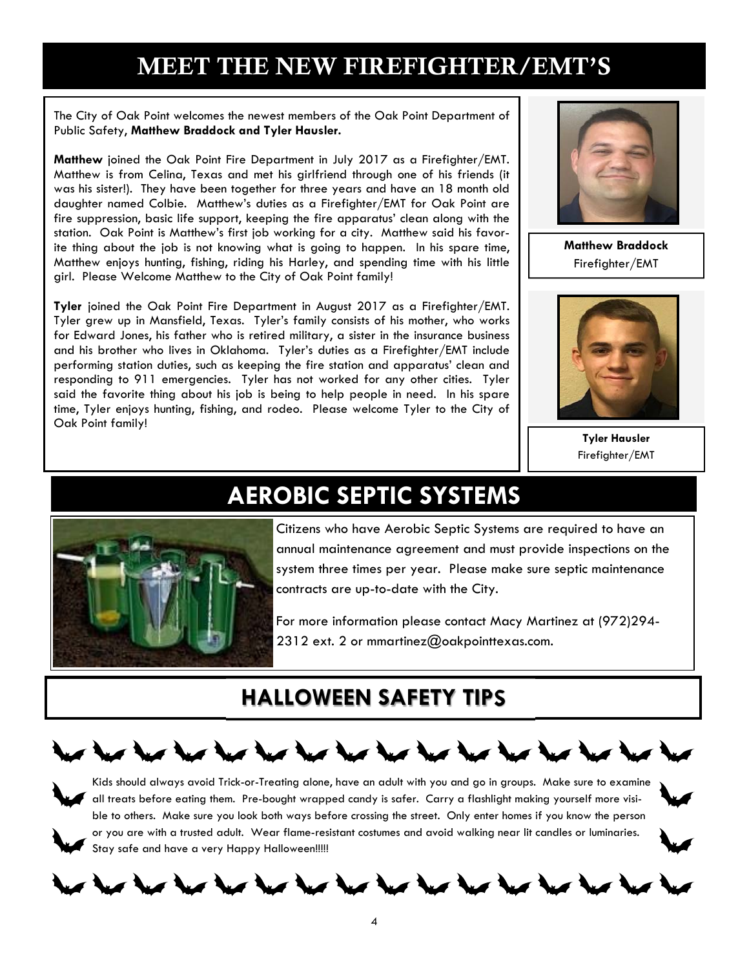## MEET THE NEW FIREFIGHTER/EMT'S

The City of Oak Point welcomes the newest members of the Oak Point Department of Public Safety, **Matthew Braddock and Tyler Hausler.** 

**Matthew** joined the Oak Point Fire Department in July 2017 as a Firefighter/EMT. Matthew is from Celina, Texas and met his girlfriend through one of his friends (it was his sister!). They have been together for three years and have an 18 month old daughter named Colbie. Matthew's duties as a Firefighter/EMT for Oak Point are fire suppression, basic life support, keeping the fire apparatus' clean along with the station. Oak Point is Matthew's first job working for a city. Matthew said his favorite thing about the job is not knowing what is going to happen. In his spare time, Matthew enjoys hunting, fishing, riding his Harley, and spending time with his little girl. Please Welcome Matthew to the City of Oak Point family!

**Tyler** joined the Oak Point Fire Department in August 2017 as a Firefighter/EMT. Tyler grew up in Mansfield, Texas. Tyler's family consists of his mother, who works for Edward Jones, his father who is retired military, a sister in the insurance business and his brother who lives in Oklahoma. Tyler's duties as a Firefighter/EMT include performing station duties, such as keeping the fire station and apparatus' clean and responding to 911 emergencies. Tyler has not worked for any other cities. Tyler said the favorite thing about his job is being to help people in need. In his spare time, Tyler enjoys hunting, fishing, and rodeo. Please welcome Tyler to the City of Oak Point family!



**Matthew Braddock**  Firefighter/EMT



**Tyler Hausler**  Firefighter/EMT



## **AEROBIC SEPTIC SYSTEMS**

Citizens who have Aerobic Septic Systems are required to have an annual maintenance agreement and must provide inspections on the system three times per year. Please make sure septic maintenance contracts are up-to-date with the City.

For more information please contact Macy Martinez at (972)294- 2312 ext. 2 or mmartinez@oakpointtexas.com.

## **HALLOWEEN SAFETY TIPS**



Kids should always avoid Trick-or-Treating alone, have an adult with you and go in groups. Make sure to examine  $^{\prime}~$  all treats before eating them. Pre-bought wrapped candy is safer. Carry a flashlight making yourself more visible to others. Make sure you look both ways before crossing the street. Only enter homes if you know the person or you are with a trusted adult. Wear flame-resistant costumes and avoid walking near lit candles or luminaries. Stay safe and have a very Happy Halloween!!!!!



# that that they that they that they that they thing they t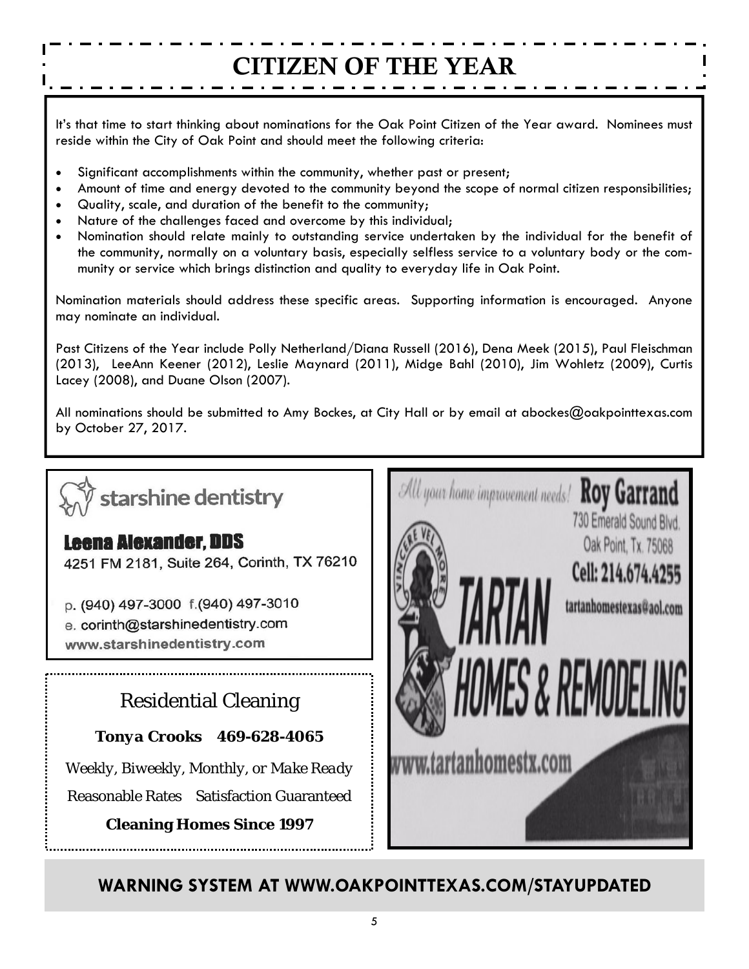# CITIZEN OF THE YEAR

It's that time to start thinking about nominations for the Oak Point Citizen of the Year award. Nominees must reside within the City of Oak Point and should meet the following criteria:

- Significant accomplishments within the community, whether past or present;
- Amount of time and energy devoted to the community beyond the scope of normal citizen responsibilities;
- Quality, scale, and duration of the benefit to the community;
- Nature of the challenges faced and overcome by this individual;
- Nomination should relate mainly to outstanding service undertaken by the individual for the benefit of the community, normally on a voluntary basis, especially selfless service to a voluntary body or the community or service which brings distinction and quality to everyday life in Oak Point.

Nomination materials should address these specific areas. Supporting information is encouraged. Anyone may nominate an individual.

Past Citizens of the Year include Polly Netherland/Diana Russell (2016), Dena Meek (2015), Paul Fleischman (2013), LeeAnn Keener (2012), Leslie Maynard (2011), Midge Bahl (2010), Jim Wohletz (2009), Curtis Lacey (2008), and Duane Olson (2007).

All nominations should be submitted to Amy Bockes, at City Hall or by email at abockes@oakpointtexas.com by October 27, 2017.

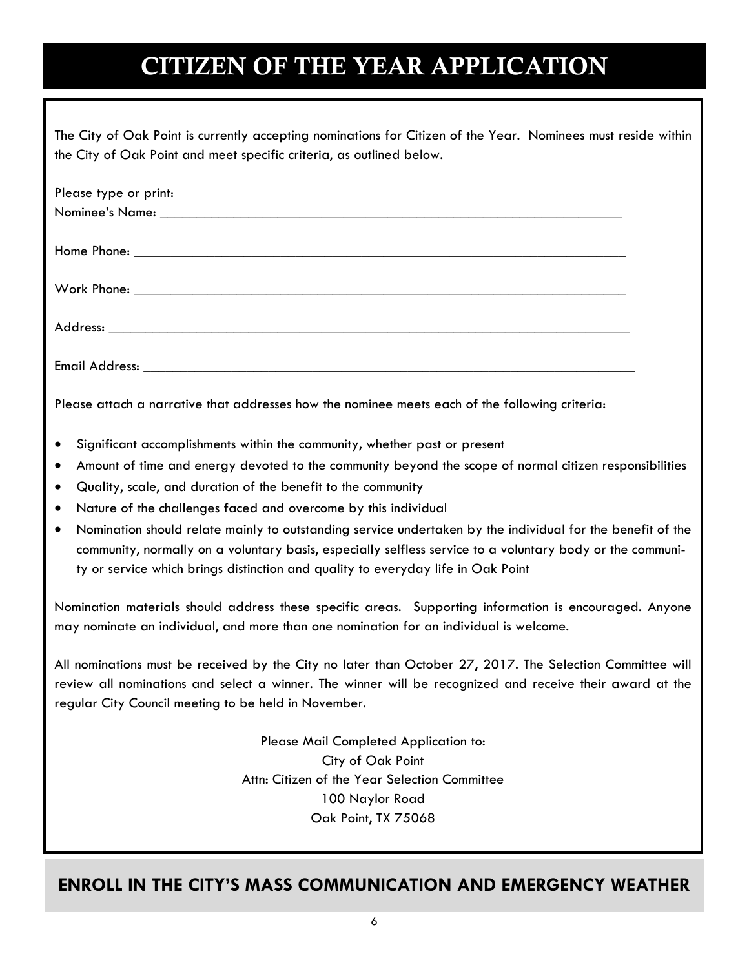# CITIZEN OF THE YEAR APPLICATION

| The City of Oak Point is currently accepting nominations for Citizen of the Year. Nominees must reside within |  |
|---------------------------------------------------------------------------------------------------------------|--|
| the City of Oak Point and meet specific criteria, as outlined below.                                          |  |

| Please type or print: |  |
|-----------------------|--|
|                       |  |
|                       |  |
|                       |  |
|                       |  |
|                       |  |
|                       |  |
|                       |  |
|                       |  |
|                       |  |
|                       |  |

Please attach a narrative that addresses how the nominee meets each of the following criteria:

- Significant accomplishments within the community, whether past or present
- Amount of time and energy devoted to the community beyond the scope of normal citizen responsibilities
- Quality, scale, and duration of the benefit to the community
- Nature of the challenges faced and overcome by this individual
- Nomination should relate mainly to outstanding service undertaken by the individual for the benefit of the community, normally on a voluntary basis, especially selfless service to a voluntary body or the community or service which brings distinction and quality to everyday life in Oak Point

Nomination materials should address these specific areas. Supporting information is encouraged. Anyone may nominate an individual, and more than one nomination for an individual is welcome.

All nominations must be received by the City no later than October 27, 2017. The Selection Committee will review all nominations and select a winner. The winner will be recognized and receive their award at the regular City Council meeting to be held in November.

> Please Mail Completed Application to: City of Oak Point Attn: Citizen of the Year Selection Committee 100 Naylor Road Oak Point, TX 75068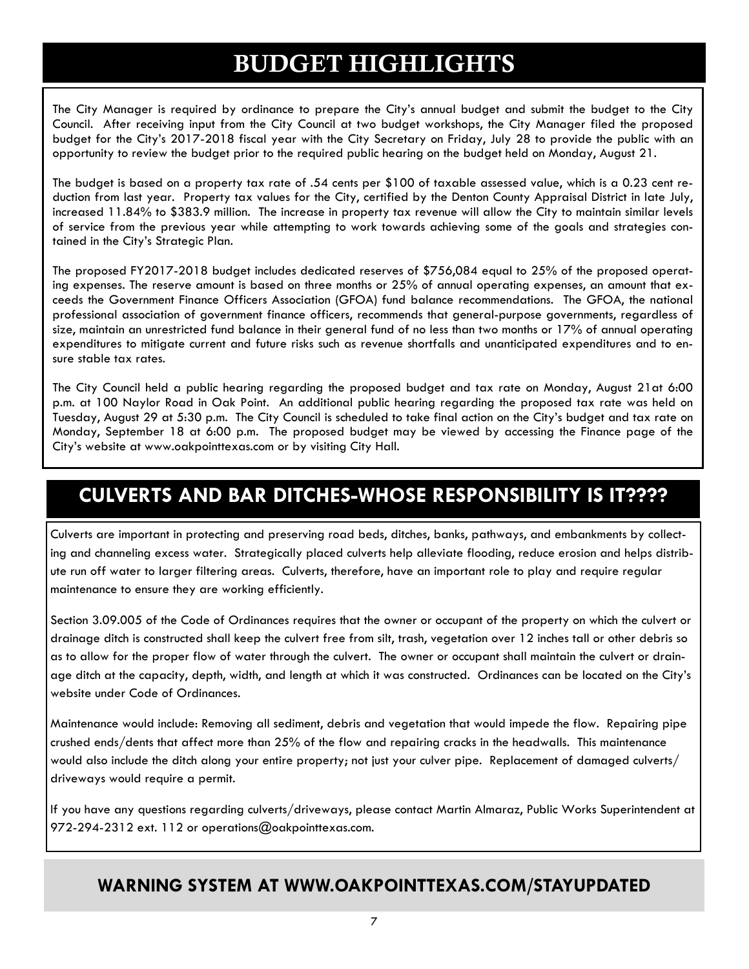## BUDGET HIGHLIGHTS

The City Manager is required by ordinance to prepare the City's annual budget and submit the budget to the City Council. After receiving input from the City Council at two budget workshops, the City Manager filed the proposed budget for the City's 2017-2018 fiscal year with the City Secretary on Friday, July 28 to provide the public with an opportunity to review the budget prior to the required public hearing on the budget held on Monday, August 21.

The budget is based on a property tax rate of .54 cents per \$100 of taxable assessed value, which is a 0.23 cent reduction from last year. Property tax values for the City, certified by the Denton County Appraisal District in late July, increased 11.84% to \$383.9 million. The increase in property tax revenue will allow the City to maintain similar levels of service from the previous year while attempting to work towards achieving some of the goals and strategies contained in the City's Strategic Plan.

The proposed FY2017-2018 budget includes dedicated reserves of \$756,084 equal to 25% of the proposed operating expenses. The reserve amount is based on three months or 25% of annual operating expenses, an amount that exceeds the Government Finance Officers Association (GFOA) fund balance recommendations. The GFOA, the national professional association of government finance officers, recommends that general-purpose governments, regardless of size, maintain an unrestricted fund balance in their general fund of no less than two months or 17% of annual operating expenditures to mitigate current and future risks such as revenue shortfalls and unanticipated expenditures and to ensure stable tax rates.

The City Council held a public hearing regarding the proposed budget and tax rate on Monday, August 21at 6:00 p.m. at 100 Naylor Road in Oak Point. An additional public hearing regarding the proposed tax rate was held on Tuesday, August 29 at 5:30 p.m. The City Council is scheduled to take final action on the City's budget and tax rate on Monday, September 18 at 6:00 p.m. The proposed budget may be viewed by accessing the Finance page of the City's website at www.oakpointtexas.com or by visiting City Hall.

## **CULVERTS AND BAR DITCHES-WHOSE RESPONSIBILITY IS IT????**

Culverts are important in protecting and preserving road beds, ditches, banks, pathways, and embankments by collecting and channeling excess water. Strategically placed culverts help alleviate flooding, reduce erosion and helps distribute run off water to larger filtering areas. Culverts, therefore, have an important role to play and require regular maintenance to ensure they are working efficiently.

Section 3.09.005 of the Code of Ordinances requires that the owner or occupant of the property on which the culvert or drainage ditch is constructed shall keep the culvert free from silt, trash, vegetation over 12 inches tall or other debris so as to allow for the proper flow of water through the culvert. The owner or occupant shall maintain the culvert or drainage ditch at the capacity, depth, width, and length at which it was constructed. Ordinances can be located on the City's website under Code of Ordinances.

Maintenance would include: Removing all sediment, debris and vegetation that would impede the flow. Repairing pipe crushed ends/dents that affect more than 25% of the flow and repairing cracks in the headwalls. This maintenance would also include the ditch along your entire property; not just your culver pipe. Replacement of damaged culverts/ driveways would require a permit.

If you have any questions regarding culverts/driveways, please contact Martin Almaraz, Public Works Superintendent at 972-294-2312 ext. 112 or operations@oakpointtexas.com.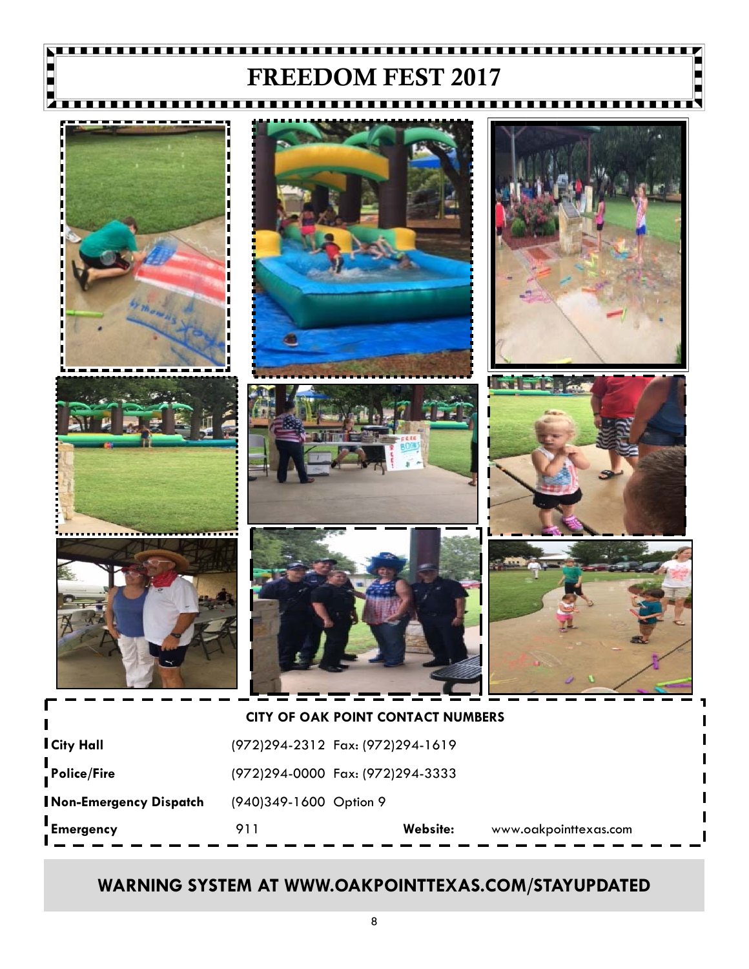### . . . . . . . . **. . . . .** FREEDOM FEST 2017

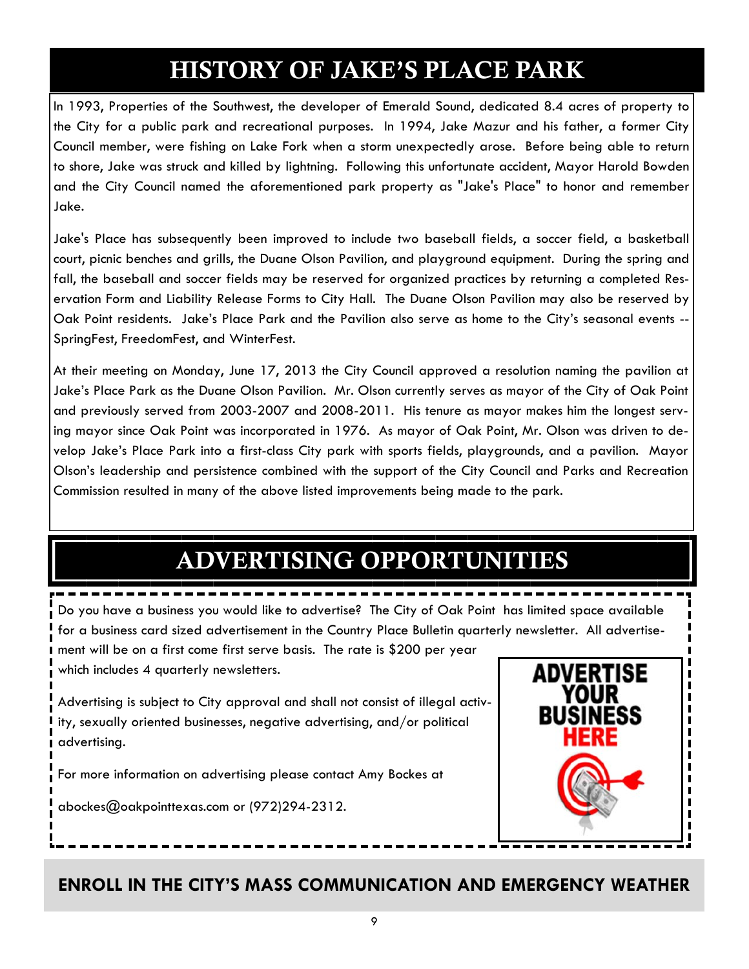# HISTORY OF JAKE'S PLACE PARK

In 1993, Properties of the Southwest, the developer of Emerald Sound, dedicated 8.4 acres of property to the City for a public park and recreational purposes. In 1994, Jake Mazur and his father, a former City Council member, were fishing on Lake Fork when a storm unexpectedly arose. Before being able to return to shore, Jake was struck and killed by lightning. Following this unfortunate accident, Mayor Harold Bowden and the City Council named the aforementioned park property as "Jake's Place" to honor and remember Jake.

Jake's Place has subsequently been improved to include two baseball fields, a soccer field, a basketball court, picnic benches and grills, the Duane Olson Pavilion, and playground equipment. During the spring and fall, the baseball and soccer fields may be reserved for organized practices by returning a completed Reservation Form and Liability Release Forms to City Hall. The Duane Olson Pavilion may also be reserved by Oak Point residents. Jake's Place Park and the Pavilion also serve as home to the City's seasonal events -- SpringFest, FreedomFest, and WinterFest.

At their meeting on Monday, June 17, 2013 the City Council approved a resolution naming the pavilion at Jake's Place Park as the Duane Olson Pavilion. Mr. Olson currently serves as mayor of the City of Oak Point and previously served from 2003-2007 and 2008-2011. His tenure as mayor makes him the longest serving mayor since Oak Point was incorporated in 1976. As mayor of Oak Point, Mr. Olson was driven to develop Jake's Place Park into a first-class City park with sports fields, playgrounds, and a pavilion. Mayor Olson's leadership and persistence combined with the support of the City Council and Parks and Recreation Commission resulted in many of the above listed improvements being made to the park.

# ADVERTISING OPPORTUNITIES

Do you have a business you would like to advertise? The City of Oak Point has limited space available for a business card sized advertisement in the Country Place Bulletin quarterly newsletter. All advertisement will be on a first come first serve basis. The rate is \$200 per year which includes 4 quarterly newsletters.

Advertising is subject to City approval and shall not consist of illegal activity, sexually oriented businesses, negative advertising, and/or political advertising.

For more information on advertising please contact Amy Bockes at

abockes@oakpointtexas.com or (972)294-2312.

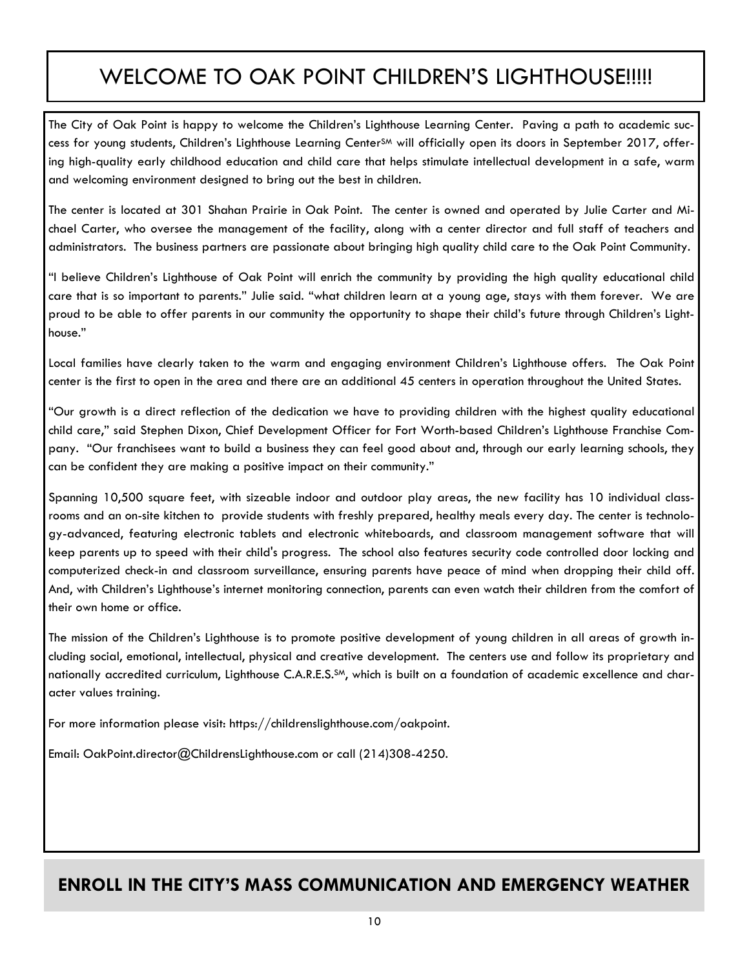## WELCOME TO OAK POINT CHILDREN'S LIGHTHOUSE!!!!!

The City of Oak Point is happy to welcome the Children's Lighthouse Learning Center. Paving a path to academic success for young students, Children's Lighthouse Learning Center<sup>SM</sup> will officially open its doors in September 2017, offering high-quality early childhood education and child care that helps stimulate intellectual development in a safe, warm and welcoming environment designed to bring out the best in children.

The center is located at 301 Shahan Prairie in Oak Point. The center is owned and operated by Julie Carter and Michael Carter, who oversee the management of the facility, along with a center director and full staff of teachers and administrators. The business partners are passionate about bringing high quality child care to the Oak Point Community.

"I believe Children's Lighthouse of Oak Point will enrich the community by providing the high quality educational child care that is so important to parents." Julie said. "what children learn at a young age, stays with them forever. We are proud to be able to offer parents in our community the opportunity to shape their child's future through Children's Lighthouse."

Local families have clearly taken to the warm and engaging environment Children's Lighthouse offers. The Oak Point center is the first to open in the area and there are an additional 45 centers in operation throughout the United States.

"Our growth is a direct reflection of the dedication we have to providing children with the highest quality educational child care," said Stephen Dixon, Chief Development Officer for Fort Worth-based Children's Lighthouse Franchise Company. "Our franchisees want to build a business they can feel good about and, through our early learning schools, they can be confident they are making a positive impact on their community."

Spanning 10,500 square feet, with sizeable indoor and outdoor play areas, the new facility has 10 individual classrooms and an on-site kitchen to provide students with freshly prepared, healthy meals every day. The center is technology-advanced, featuring electronic tablets and electronic whiteboards, and classroom management software that will keep parents up to speed with their child's progress. The school also features security code controlled door locking and computerized check-in and classroom surveillance, ensuring parents have peace of mind when dropping their child off. And, with Children's Lighthouse's internet monitoring connection, parents can even watch their children from the comfort of their own home or office.

The mission of the Children's Lighthouse is to promote positive development of young children in all areas of growth including social, emotional, intellectual, physical and creative development. The centers use and follow its proprietary and nationally accredited curriculum, Lighthouse C.A.R.E.S.SM, which is built on a foundation of academic excellence and character values training.

For more information please visit: https://childrenslighthouse.com/oakpoint.

Email: OakPoint.director@ChildrensLighthouse.com or call (214)308-4250.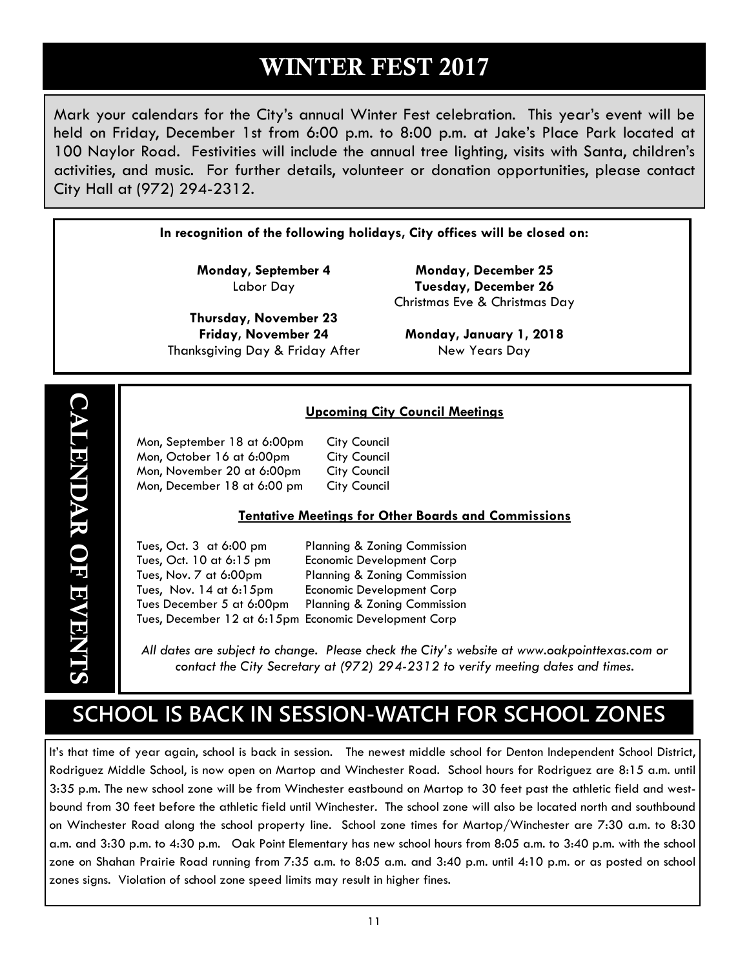## WINTER FEST 2017

Mark your calendars for the City's annual Winter Fest celebration. This year's event will be held on Friday, December 1st from 6:00 p.m. to 8:00 p.m. at Jake's Place Park located at 100 Naylor Road. Festivities will include the annual tree lighting, visits with Santa, children's activities, and music. For further details, volunteer or donation opportunities, please contact City Hall at (972) 294-2312.

**In recognition of the following holidays, City offices will be closed on:** 

**Monday, September 4**  Labor Day

**Thursday, November 23 Friday, November 24**  Thanksgiving Day & Friday After

**Monday, December 25 Tuesday, December 26**  Christmas Eve & Christmas Day

**Monday, January 1, 2018**  New Years Day

### **Upcoming City Council Meetings**

| Mon, September 18 at 6:00pm | <b>City Council</b> |
|-----------------------------|---------------------|
| Mon, October 16 at 6:00pm   | <b>City Council</b> |
| Mon, November 20 at 6:00pm  | <b>City Council</b> |
| Mon, December 18 at 6:00 pm | <b>City Council</b> |

#### **Tentative Meetings for Other Boards and Commissions**

 Tues, Oct. 3 at 6:00 pm Planning & Zoning Commission Tues, Oct. 10 at 6:15 pm Economic Development Corp Tues, Nov. 7 at 6:00pm Planning & Zoning Commission Tues, Nov. 14 at 6:15pm Economic Development Corp Tues December 5 at 6:00pm Planning & Zoning Commission Tues, December 12 at 6:15pm Economic Development Corp

*All dates are subject to change. Please check the City's website at www.oakpointtexas.com or contact the City Secretary at (972) 294-2312 to verify meeting dates and times.*

## **SCHOOL IS BACK IN SESSION-WATCH FOR SCHOOL ZONES**

It's that time of year again, school is back in session. The newest middle school for Denton Independent School District, Rodriguez Middle School, is now open on Martop and Winchester Road. School hours for Rodriguez are 8:15 a.m. until 3:35 p.m. The new school zone will be from Winchester eastbound on Martop to 30 feet past the athletic field and westbound from 30 feet before the athletic field until Winchester. The school zone will also be located north and southbound on Winchester Road along the school property line. School zone times for Martop/Winchester are 7:30 a.m. to 8:30 a.m. and 3:30 p.m. to 4:30 p.m. Oak Point Elementary has new school hours from 8:05 a.m. to 3:40 p.m. with the school zone on Shahan Prairie Road running from 7:35 a.m. to 8:05 a.m. and 3:40 p.m. until 4:10 p.m. or as posted on school zones signs. Violation of school zone speed limits may result in higher fines.